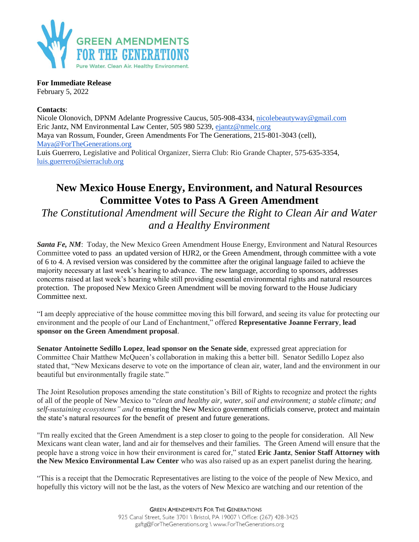

**For Immediate Release**

February 5, 2022

## **Contacts**:

Nicole Olonovich, DPNM Adelante Progressive Caucus, 505-908-4334, [nicolebeautyway@gmail.com](mailto:nicolebeautyway@gmail.com) Eric Jantz, NM Environmental Law Center, 505 980 5239, [ejantz@nmelc.org](mailto:ejantz@nmelc.org) Maya van Rossum, Founder, Green Amendments For The Generations, 215-801-3043 (cell), [Maya@ForTheGenerations.org](mailto:Maya@ForTheGenerations.org) Luis Guerrero, Legislative and Political Organizer, Sierra Club: Rio Grande Chapter, 575-635-3354, [luis.guerrero@sierraclub.org](mailto:luis.guerrero@sierraclub.org)

## **New Mexico House Energy, Environment, and Natural Resources Committee Votes to Pass A Green Amendment**

*The Constitutional Amendment will Secure the Right to Clean Air and Water and a Healthy Environment*

*Santa Fe, NM*: Today, the New Mexico Green Amendment House Energy, Environment and Natural Resources Committee voted to pass an updated version of HJR2, or the Green Amendment, through committee with a vote of 6 to 4. A revised version was considered by the committee after the original language failed to achieve the majority necessary at last week's hearing to advance. The new language, according to sponsors, addresses concerns raised at last week's hearing while still providing essential environmental rights and natural resources protection. The proposed New Mexico Green Amendment will be moving forward to the House Judiciary Committee next.

"I am deeply appreciative of the house committee moving this bill forward, and seeing its value for protecting our environment and the people of our Land of Enchantment," offered **Representative Joanne Ferrary**, **lead sponsor on the Green Amendment proposal**.

**Senator Antoinette Sedillo Lopez**, **lead sponsor on the Senate side**, expressed great appreciation for Committee Chair Matthew McQueen's collaboration in making this a better bill. Senator Sedillo Lopez also stated that, "New Mexicans deserve to vote on the importance of clean air, water, land and the environment in our beautiful but environmentally fragile state."

The Joint Resolution proposes amending the state constitution's Bill of Rights to recognize and protect the rights of all of the people of New Mexico to "*clean and healthy air, water, soil and environment; a stable climate; and self-sustaining ecosystems" and* to ensuring the New Mexico government officials conserve, protect and maintain the state's natural resources for the benefit of present and future generations.

"I'm really excited that the Green Amendment is a step closer to going to the people for consideration. All New Mexicans want clean water, land and air for themselves and their families. The Green Amend will ensure that the people have a strong voice in how their environment is cared for," stated **Eric Jantz**, **Senior Staff Attorney with the New Mexico Environmental Law Center** who was also raised up as an expert panelist during the hearing.

"This is a receipt that the Democratic Representatives are listing to the voice of the people of New Mexico, and hopefully this victory will not be the last, as the voters of New Mexico are watching and our retention of the